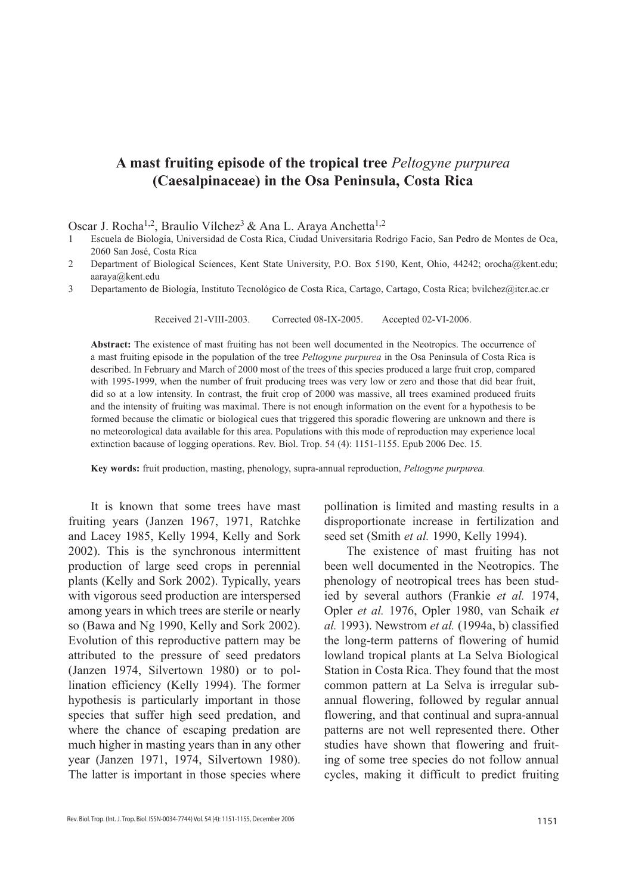# **A mast fruiting episode of the tropical tree** *Peltogyne purpurea* **(Caesalpinaceae) in the Osa Peninsula, Costa Rica**

Oscar J. Rocha<sup>1,2</sup>, Braulio Vílchez<sup>3</sup> & Ana L. Araya Anchetta<sup>1,2</sup>

- 1 Escuela de Biología, Universidad de Costa Rica, Ciudad Universitaria Rodrigo Facio, San Pedro de Montes de Oca, 2060 San José, Costa Rica
- 2 Department of Biological Sciences, Kent State University, P.O. Box 5190, Kent, Ohio, 44242; orocha@kent.edu; aaraya@kent.edu
- 3 Departamento de Biología, Instituto Tecnológico de Costa Rica, Cartago, Cartago, Costa Rica; bvilchez@itcr.ac.cr

Received 21-VIII-2003. Corrected 08-IX-2005. Accepted 02-VI-2006.

**Abstract:** The existence of mast fruiting has not been well documented in the Neotropics. The occurrence of a mast fruiting episode in the population of the tree *Peltogyne purpurea* in the Osa Peninsula of Costa Rica is described. In February and March of 2000 most of the trees of this species produced a large fruit crop, compared with 1995-1999, when the number of fruit producing trees was very low or zero and those that did bear fruit, did so at a low intensity. In contrast, the fruit crop of 2000 was massive, all trees examined produced fruits and the intensity of fruiting was maximal. There is not enough information on the event for a hypothesis to be formed because the climatic or biological cues that triggered this sporadic flowering are unknown and there is no meteorological data available for this area. Populations with this mode of reproduction may experience local extinction bacause of logging operations. Rev. Biol. Trop. 54 (4): 1151-1155. Epub 2006 Dec. 15.

**Key words:** fruit production, masting, phenology, supra-annual reproduction, *Peltogyne purpurea.*

It is known that some trees have mast fruiting years (Janzen 1967, 1971, Ratchke and Lacey 1985, Kelly 1994, Kelly and Sork 2002). This is the synchronous intermittent production of large seed crops in perennial plants (Kelly and Sork 2002). Typically, years with vigorous seed production are interspersed among years in which trees are sterile or nearly so (Bawa and Ng 1990, Kelly and Sork 2002). Evolution of this reproductive pattern may be attributed to the pressure of seed predators (Janzen 1974, Silvertown 1980) or to pollination efficiency (Kelly 1994). The former hypothesis is particularly important in those species that suffer high seed predation, and where the chance of escaping predation are much higher in masting years than in any other year (Janzen 1971, 1974, Silvertown 1980). The latter is important in those species where pollination is limited and masting results in a disproportionate increase in fertilization and seed set (Smith *et al.* 1990, Kelly 1994).

The existence of mast fruiting has not been well documented in the Neotropics. The phenology of neotropical trees has been studied by several authors (Frankie *et al.* 1974, Opler *et al.* 1976, Opler 1980, van Schaik *et al.* 1993). Newstrom *et al.* (1994a, b) classified the long-term patterns of flowering of humid lowland tropical plants at La Selva Biological Station in Costa Rica. They found that the most common pattern at La Selva is irregular subannual flowering, followed by regular annual flowering, and that continual and supra-annual patterns are not well represented there. Other studies have shown that flowering and fruiting of some tree species do not follow annual cycles, making it difficult to predict fruiting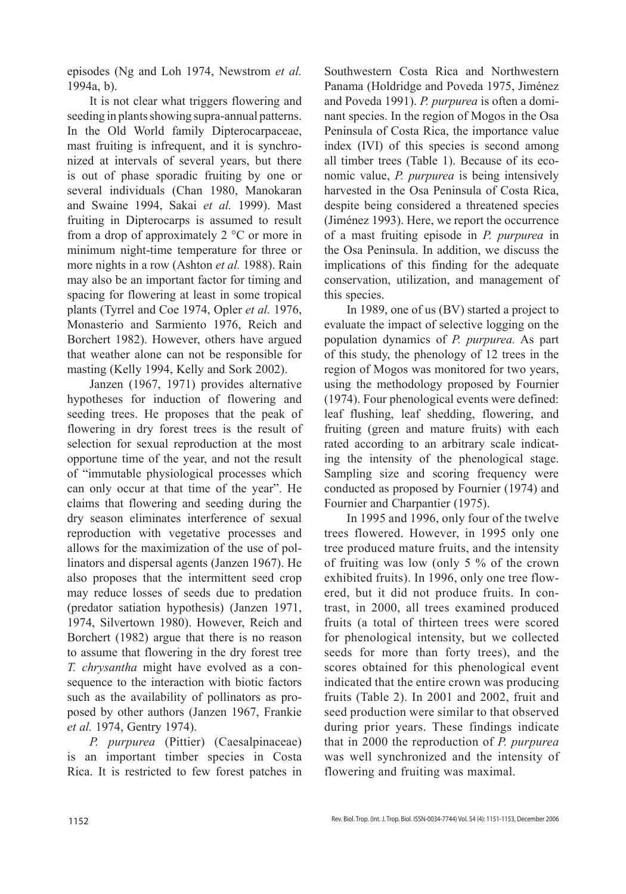episodes (Ng and Loh 1974, Newstrom *et al.*  1994a, b).

It is not clear what triggers flowering and seeding in plants showing supra-annual patterns. In the Old World family Dipterocarpaceae, mast fruiting is infrequent, and it is synchronized at intervals of several years, but there is out of phase sporadic fruiting by one or several individuals (Chan 1980, Manokaran and Swaine 1994, Sakai *et al.* 1999). Mast fruiting in Dipterocarps is assumed to result from a drop of approximately 2 °C or more in minimum night-time temperature for three or more nights in a row (Ashton *et al.* 1988). Rain may also be an important factor for timing and spacing for flowering at least in some tropical plants (Tyrrel and Coe 1974, Opler *et al.* 1976, Monasterio and Sarmiento 1976, Reich and Borchert 1982). However, others have argued that weather alone can not be responsible for masting (Kelly 1994, Kelly and Sork 2002).

Janzen (1967, 1971) provides alternative hypotheses for induction of flowering and seeding trees. He proposes that the peak of flowering in dry forest trees is the result of selection for sexual reproduction at the most opportune time of the year, and not the result of "immutable physiological processes which can only occur at that time of the year". He claims that flowering and seeding during the dry season eliminates interference of sexual reproduction with vegetative processes and allows for the maximization of the use of pollinators and dispersal agents (Janzen 1967). He also proposes that the intermittent seed crop may reduce losses of seeds due to predation (predator satiation hypothesis) (Janzen 1971, 1974, Silvertown 1980). However, Reich and Borchert (1982) argue that there is no reason to assume that flowering in the dry forest tree *T. chrysantha* might have evolved as a consequence to the interaction with biotic factors such as the availability of pollinators as proposed by other authors (Janzen 1967, Frankie *et al.* 1974, Gentry 1974).

*P. purpurea* (Pittier) (Caesalpinaceae) is an important timber species in Costa Rica. It is restricted to few forest patches in

Southwestern Costa Rica and Northwestern Panama (Holdridge and Poveda 1975, Jiménez and Poveda 1991). *P. purpurea* is often a dominant species. In the region of Mogos in the Osa Peninsula of Costa Rica, the importance value index (IVI) of this species is second among all timber trees (Table 1). Because of its economic value, *P. purpurea* is being intensively harvested in the Osa Peninsula of Costa Rica, despite being considered a threatened species (Jiménez 1993). Here, we report the occurrence of a mast fruiting episode in *P. purpurea* in the Osa Peninsula. In addition, we discuss the implications of this finding for the adequate conservation, utilization, and management of this species.

In 1989, one of us (BV) started a project to evaluate the impact of selective logging on the population dynamics of *P. purpurea.* As part of this study, the phenology of 12 trees in the region of Mogos was monitored for two years, using the methodology proposed by Fournier (1974). Four phenological events were defined: leaf flushing, leaf shedding, flowering, and fruiting (green and mature fruits) with each rated according to an arbitrary scale indicating the intensity of the phenological stage. Sampling size and scoring frequency were conducted as proposed by Fournier (1974) and Fournier and Charpantier (1975).

In 1995 and 1996, only four of the twelve trees flowered. However, in 1995 only one tree produced mature fruits, and the intensity of fruiting was low (only 5 % of the crown exhibited fruits). In 1996, only one tree flowered, but it did not produce fruits. In contrast, in 2000, all trees examined produced fruits (a total of thirteen trees were scored for phenological intensity, but we collected seeds for more than forty trees), and the scores obtained for this phenological event indicated that the entire crown was producing fruits (Table 2). In 2001 and 2002, fruit and seed production were similar to that observed during prior years. These findings indicate that in 2000 the reproduction of *P. purpurea* was well synchronized and the intensity of flowering and fruiting was maximal.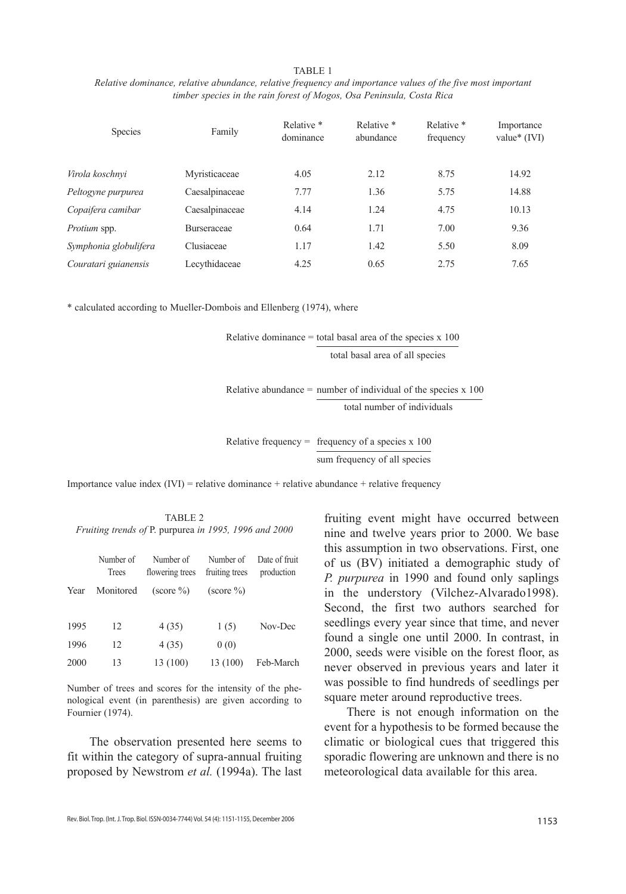#### TABLE 1

*Relative dominance, relative abundance, relative frequency and importance values of the five most important timber species in the rain forest of Mogos, Osa Peninsula, Costa Rica*

| <b>Species</b>        | Family             | Relative *<br>dominance | Relative *<br>abundance | Relative *<br>frequency | Importance<br>value $*(IVI)$ |
|-----------------------|--------------------|-------------------------|-------------------------|-------------------------|------------------------------|
| Virola koschnvi       | Myristicaceae      | 4.05                    | 2.12                    | 8.75                    | 14.92                        |
| Peltogyne purpurea    | Caesalpinaceae     | 7.77                    | 1.36                    | 5.75                    | 14.88                        |
| Copaifera camibar     | Caesalpinaceae     | 4.14                    | 1.24                    | 4.75                    | 10.13                        |
| Protium spp.          | <b>Burseraceae</b> | 0.64                    | 1.71                    | 7.00                    | 9.36                         |
| Symphonia globulifera | Clusiaceae         | 1.17                    | 1.42                    | 5.50                    | 8.09                         |
| Couratari guianensis  | Lecythidaceae      | 4.25                    | 0.65                    | 2.75                    | 7.65                         |

\* calculated according to Mueller-Dombois and Ellenberg (1974), where

Relative dominance  $=$  total basal area of the species  $x$  100 total basal area of all species

Relative abundance = number of individual of the species  $x$  100 total number of individuals

Relative frequency  $=$  frequency of a species x 100

sum frequency of all species

Importance value index  $(IVI)$  = relative dominance + relative abundance + relative frequency

TABLE 2 *Fruiting trends of* P. purpurea *in 1995, 1996 and 2000*

|      | Number of<br>Trees | Number of<br>flowering trees      | Number of<br>fruiting trees       | Date of fruit<br>production |
|------|--------------------|-----------------------------------|-----------------------------------|-----------------------------|
| Year | Monitored          | $\left( \text{score } \% \right)$ | $\left( \text{score } \% \right)$ |                             |
| 1995 | 12                 | 4(35)                             | 1(5)                              | Nov-Dec                     |
| 1996 | 12                 | 4(35)                             | 0(0)                              |                             |
| 2000 | 13                 | 13 (100)                          | 13 (100)                          | Feb-March                   |

Number of trees and scores for the intensity of the phenological event (in parenthesis) are given according to Fournier (1974).

The observation presented here seems to fit within the category of supra-annual fruiting proposed by Newstrom *et al.* (1994a). The last

fruiting event might have occurred between nine and twelve years prior to 2000. We base this assumption in two observations. First, one of us (BV) initiated a demographic study of *P. purpurea* in 1990 and found only saplings in the understory (Vilchez-Alvarado1998). Second, the first two authors searched for seedlings every year since that time, and never found a single one until 2000. In contrast, in 2000, seeds were visible on the forest floor, as never observed in previous years and later it was possible to find hundreds of seedlings per square meter around reproductive trees.

There is not enough information on the event for a hypothesis to be formed because the climatic or biological cues that triggered this sporadic flowering are unknown and there is no meteorological data available for this area.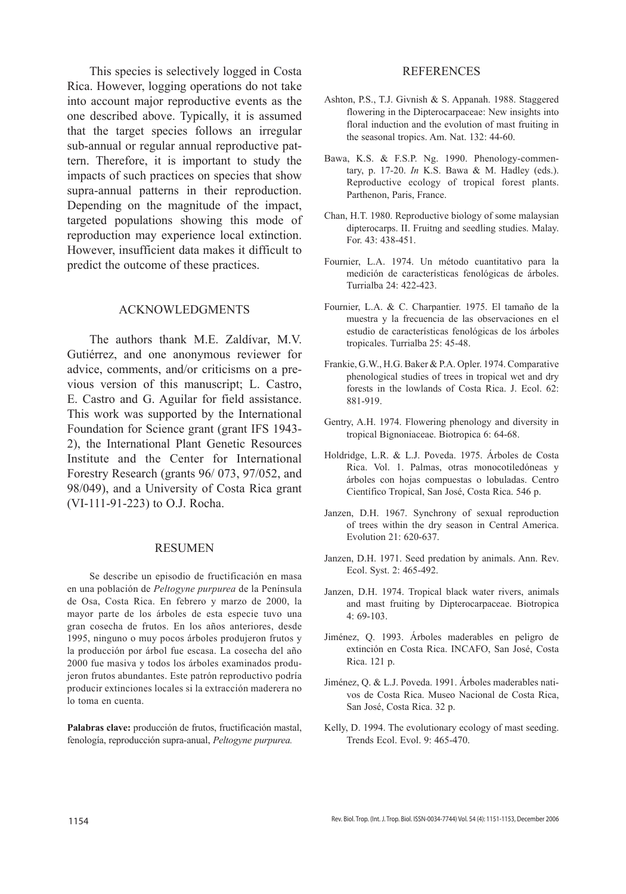This species is selectively logged in Costa Rica. However, logging operations do not take into account major reproductive events as the one described above. Typically, it is assumed that the target species follows an irregular sub-annual or regular annual reproductive pattern. Therefore, it is important to study the impacts of such practices on species that show supra-annual patterns in their reproduction. Depending on the magnitude of the impact, targeted populations showing this mode of reproduction may experience local extinction. However, insufficient data makes it difficult to predict the outcome of these practices.

## ACKNOWLEDGMENTS

The authors thank M.E. Zaldívar, M.V. Gutiérrez, and one anonymous reviewer for advice, comments, and/or criticisms on a previous version of this manuscript; L. Castro, E. Castro and G. Aguilar for field assistance. This work was supported by the International Foundation for Science grant (grant IFS 1943- 2), the International Plant Genetic Resources Institute and the Center for International Forestry Research (grants 96/ 073, 97/052, and 98/049), and a University of Costa Rica grant (VI-111-91-223) to O.J. Rocha.

### Resumen

Se describe un episodio de fructificación en masa en una población de *Peltogyne purpurea* de la Península de Osa, Costa Rica. En febrero y marzo de 2000, la mayor parte de los árboles de esta especie tuvo una gran cosecha de frutos. En los años anteriores, desde 1995, ninguno o muy pocos árboles produjeron frutos y la producción por árbol fue escasa. La cosecha del año 2000 fue masiva y todos los árboles examinados produjeron frutos abundantes. Este patrón reproductivo podría producir extinciones locales si la extracción maderera no lo toma en cuenta.

**Palabras clave:** producción de frutos, fructificación mastal, fenología, reproducción supra-anual, *Peltogyne purpurea.*

### REFERENCES

- Ashton, P.S., T.J. Givnish & S. Appanah. 1988. Staggered flowering in the Dipterocarpaceae: New insights into floral induction and the evolution of mast fruiting in the seasonal tropics. Am. Nat. 132: 44-60.
- Bawa, K.S. & F.S.P. Ng. 1990. Phenology-commentary, p. 17-20. *In* K.S. Bawa & M. Hadley (eds.). Reproductive ecology of tropical forest plants. Parthenon, Paris, France.
- Chan, H.T. 1980. Reproductive biology of some malaysian dipterocarps. II. Fruitng and seedling studies. Malay. For. 43: 438-451.
- Fournier, L.A. 1974. Un método cuantitativo para la medición de características fenológicas de árboles. Turrialba 24: 422-423.
- Fournier, L.A. & C. Charpantier. 1975. El tamaño de la muestra y la frecuencia de las observaciones en el estudio de características fenológicas de los árboles tropicales. Turrialba 25: 45-48.
- Frankie, G.W., H.G. Baker & P.A. Opler. 1974. Comparative phenological studies of trees in tropical wet and dry forests in the lowlands of Costa Rica. J. Ecol. 62: 881-919.
- Gentry, A.H. 1974. Flowering phenology and diversity in tropical Bignoniaceae. Biotropica 6: 64-68.
- Holdridge, L.R. & L.J. Poveda. 1975. Árboles de Costa Rica. Vol. 1. Palmas, otras monocotiledóneas y árboles con hojas compuestas o lobuladas. Centro Científico Tropical, San José, Costa Rica. 546 p.
- Janzen, D.H. 1967. Synchrony of sexual reproduction of trees within the dry season in Central America. Evolution 21: 620-637.
- Janzen, D.H. 1971. Seed predation by animals. Ann. Rev. Ecol. Syst. 2: 465-492.
- Janzen, D.H. 1974. Tropical black water rivers, animals and mast fruiting by Dipterocarpaceae. Biotropica 4: 69-103.
- Jiménez, Q. 1993. Árboles maderables en peligro de extinción en Costa Rica. INCAFO, San José, Costa Rica. 121 p.
- Jiménez, Q. & L.J. Poveda. 1991. Árboles maderables nativos de Costa Rica. Museo Nacional de Costa Rica, San José, Costa Rica. 32 p.
- Kelly, D. 1994. The evolutionary ecology of mast seeding. Trends Ecol. Evol. 9: 465-470.